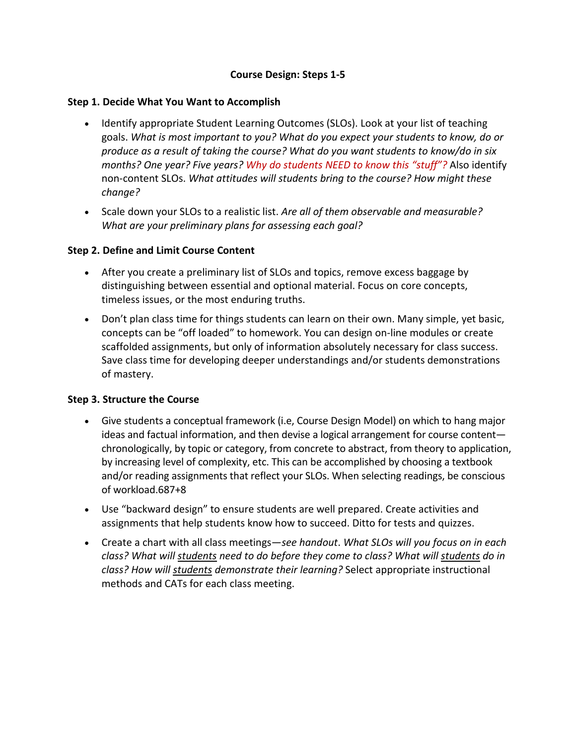# **Course Design: Steps 1-5**

### **Step 1. Decide What You Want to Accomplish**

- Identify appropriate Student Learning Outcomes (SLOs). Look at your list of teaching goals. *What is most important to you? What do you expect your students to know, do or produce as a result of taking the course? What do you want students to know/do in six months? One year? Five years? Why do students NEED to know this "stuff"?* Also identify non-content SLOs. *What attitudes will students bring to the course? How might these change?*
- Scale down your SLOs to a realistic list. *Are all of them observable and measurable? What are your preliminary plans for assessing each goal?*

# **Step 2. Define and Limit Course Content**

- After you create a preliminary list of SLOs and topics, remove excess baggage by distinguishing between essential and optional material. Focus on core concepts, timeless issues, or the most enduring truths.
- Don't plan class time for things students can learn on their own. Many simple, yet basic, concepts can be "off loaded" to homework. You can design on-line modules or create scaffolded assignments, but only of information absolutely necessary for class success. Save class time for developing deeper understandings and/or students demonstrations of mastery.

# **Step 3. Structure the Course**

- Give students a conceptual framework (i.e, Course Design Model) on which to hang major ideas and factual information, and then devise a logical arrangement for course content chronologically, by topic or category, from concrete to abstract, from theory to application, by increasing level of complexity, etc. This can be accomplished by choosing a textbook and/or reading assignments that reflect your SLOs. When selecting readings, be conscious of workload.687+8
- Use "backward design" to ensure students are well prepared. Create activities and assignments that help students know how to succeed. Ditto for tests and quizzes.
- Create a chart with all class meetings—*see handout*. *What SLOs will you focus on in each class? What will students need to do before they come to class? What will students do in class? How will students demonstrate their learning?* Select appropriate instructional methods and CATs for each class meeting.